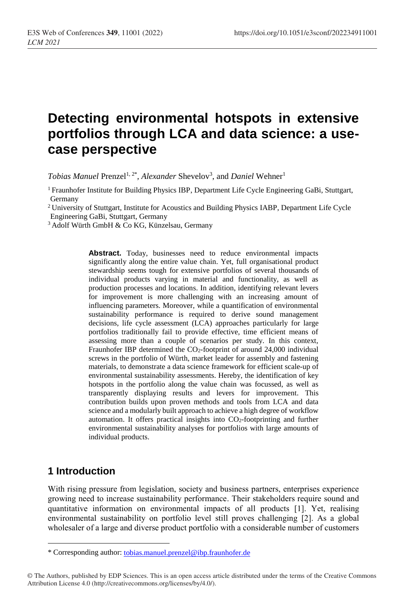# **Detecting environmental hotspots in extensive portfolios through LCA and data science: a usecase perspective**

*Tobias Manuel* Prenzel<sup>1, 2\*</sup>, Alexander Shevelov<sup>3</sup>, and *Daniel* Wehner<sup>1</sup>

<sup>1</sup> Fraunhofer Institute for Building Physics IBP, Department Life Cycle Engineering GaBi, Stuttgart, Germany

<sup>2</sup> University of Stuttgart, Institute for Acoustics and Building Physics IABP, Department Life Cycle Engineering GaBi, Stuttgart, Germany

<sup>3</sup> Adolf Würth GmbH & Co KG, Künzelsau, Germany

Abstract. Today, businesses need to reduce environmental impacts significantly along the entire value chain. Yet, full organisational product stewardship seems tough for extensive portfolios of several thousands of individual products varying in material and functionality, as well as production processes and locations. In addition, identifying relevant levers for improvement is more challenging with an increasing amount of influencing parameters. Moreover, while a quantification of environmental sustainability performance is required to derive sound management decisions, life cycle assessment (LCA) approaches particularly for large portfolios traditionally fail to provide effective, time efficient means of assessing more than a couple of scenarios per study. In this context, Fraunhofer IBP determined the CO<sub>2</sub>-footprint of around 24,000 individual screws in the portfolio of Würth, market leader for assembly and fastening materials, to demonstrate a data science framework for efficient scale-up of environmental sustainability assessments. Hereby, the identification of key hotspots in the portfolio along the value chain was focussed, as well as transparently displaying results and levers for improvement. This contribution builds upon proven methods and tools from LCA and data science and a modularly built approach to achieve a high degree of workflow automation. It offers practical insights into CO2-footprinting and further environmental sustainability analyses for portfolios with large amounts of individual products.

### **1 Introduction**

 $\overline{a}$ 

With rising pressure from legislation, society and business partners, enterprises experience growing need to increase sustainability performance. Their stakeholders require sound and quantitative information on environmental impacts of all products [1]. Yet, realising environmental sustainability on portfolio level still proves challenging [2]. As a global wholesaler of a large and diverse product portfolio with a considerable number of customers

<sup>\*</sup> Corresponding author: [tobias.manuel.prenzel@ibp.fraunhofer.de](mailto:tobias.manuel.prenzel@ibp.fraunhofer.de)

<sup>©</sup> The Authors, published by EDP Sciences. This is an open access article distributed under the terms of the Creative Commons Attribution License 4.0 (http://creativecommons.org/licenses/by/4.0/).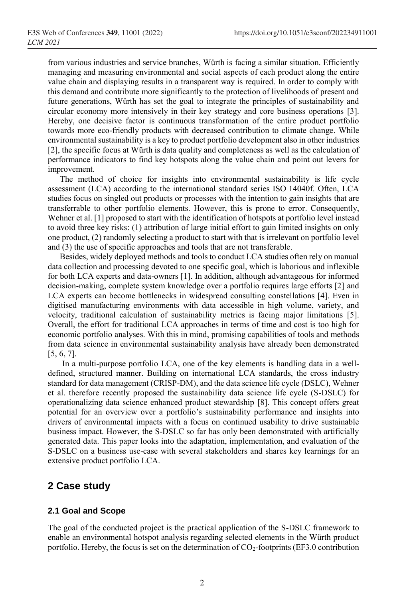from various industries and service branches, Würth is facing a similar situation. Efficiently managing and measuring environmental and social aspects of each product along the entire value chain and displaying results in a transparent way is required. In order to comply with this demand and contribute more significantly to the protection of livelihoods of present and future generations, Würth has set the goal to integrate the principles of sustainability and circular economy more intensively in their key strategy and core business operations [3]. Hereby, one decisive factor is continuous transformation of the entire product portfolio towards more eco-friendly products with decreased contribution to climate change. While environmental sustainability is a key to product portfolio development also in other industries [2], the specific focus at Würth is data quality and completeness as well as the calculation of performance indicators to find key hotspots along the value chain and point out levers for improvement.

The method of choice for insights into environmental sustainability is life cycle assessment (LCA) according to the international standard series ISO 14040f. Often, LCA studies focus on singled out products or processes with the intention to gain insights that are transferrable to other portfolio elements. However, this is prone to error. Consequently, Wehner et al. [1] proposed to start with the identification of hotspots at portfolio level instead to avoid three key risks: (1) attribution of large initial effort to gain limited insights on only one product, (2) randomly selecting a product to start with that is irrelevant on portfolio level and (3) the use of specific approaches and tools that are not transferable.

Besides, widely deployed methods and tools to conduct LCA studies often rely on manual data collection and processing devoted to one specific goal, which is laborious and inflexible for both LCA experts and data-owners [1]. In addition, although advantageous for informed decision-making, complete system knowledge over a portfolio requires large efforts [2] and LCA experts can become bottlenecks in widespread consulting constellations [4]. Even in digitised manufacturing environments with data accessible in high volume, variety, and velocity, traditional calculation of sustainability metrics is facing major limitations [5]. Overall, the effort for traditional LCA approaches in terms of time and cost is too high for economic portfolio analyses. With this in mind, promising capabilities of tools and methods from data science in environmental sustainability analysis have already been demonstrated [5, 6, 7].

In a multi-purpose portfolio LCA, one of the key elements is handling data in a welldefined, structured manner. Building on international LCA standards, the cross industry standard for data management (CRISP-DM), and the data science life cycle (DSLC), Wehner et al. therefore recently proposed the sustainability data science life cycle (S-DSLC) for operationalizing data science enhanced product stewardship [8]. This concept offers great potential for an overview over a portfolio's sustainability performance and insights into drivers of environmental impacts with a focus on continued usability to drive sustainable business impact. However, the S-DSLC so far has only been demonstrated with artificially generated data. This paper looks into the adaptation, implementation, and evaluation of the S-DSLC on a business use-case with several stakeholders and shares key learnings for an extensive product portfolio LCA.

### **2 Case study**

#### **2.1 Goal and Scope**

The goal of the conducted project is the practical application of the S-DSLC framework to enable an environmental hotspot analysis regarding selected elements in the Würth product portfolio. Hereby, the focus is set on the determination of  $CO_2$ -footprints (EF3.0 contribution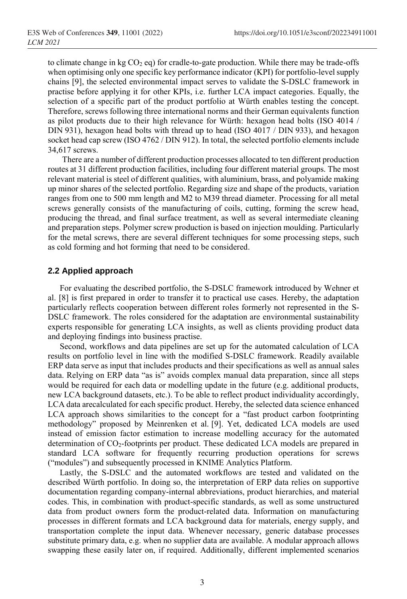to climate change in kg  $CO<sub>2</sub>$  eq) for cradle-to-gate production. While there may be trade-offs when optimising only one specific key performance indicator (KPI) for portfolio-level supply chains [9], the selected environmental impact serves to validate the S-DSLC framework in practise before applying it for other KPIs, i.e. further LCA impact categories. Equally, the selection of a specific part of the product portfolio at Würth enables testing the concept. Therefore, screws following three international norms and their German equivalents function as pilot products due to their high relevance for Würth: hexagon head bolts (ISO 4014 / DIN 931), hexagon head bolts with thread up to head (ISO 4017 / DIN 933), and hexagon socket head cap screw (ISO 4762 / DIN 912). In total, the selected portfolio elements include 34,617 screws.

There are a number of different production processes allocated to ten different production routes at 31 different production facilities, including four different material groups. The most relevant material is steel of different qualities, with aluminium, brass, and polyamide making up minor shares of the selected portfolio. Regarding size and shape of the products, variation ranges from one to 500 mm length and M2 to M39 thread diameter. Processing for all metal screws generally consists of the manufacturing of coils, cutting, forming the screw head, producing the thread, and final surface treatment, as well as several intermediate cleaning and preparation steps. Polymer screw production is based on injection moulding. Particularly for the metal screws, there are several different techniques for some processing steps, such as cold forming and hot forming that need to be considered.

#### **2.2 Applied approach**

For evaluating the described portfolio, the S-DSLC framework introduced by Wehner et al. [8] is first prepared in order to transfer it to practical use cases. Hereby, the adaptation particularly reflects cooperation between different roles formerly not represented in the S-DSLC framework. The roles considered for the adaptation are environmental sustainability experts responsible for generating LCA insights, as well as clients providing product data and deploying findings into business practise.

Second, workflows and data pipelines are set up for the automated calculation of LCA results on portfolio level in line with the modified S-DSLC framework. Readily available ERP data serve as input that includes products and their specifications as well as annual sales data. Relying on ERP data "as is" avoids complex manual data preparation, since all steps would be required for each data or modelling update in the future (e.g. additional products, new LCA background datasets, etc.). To be able to reflect product individuality accordingly, LCA data arecalculated for each specific product. Hereby, the selected data science enhanced LCA approach shows similarities to the concept for a "fast product carbon footprinting methodology" proposed by Meinrenken et al. [9]. Yet, dedicated LCA models are used instead of emission factor estimation to increase modelling accuracy for the automated determination of CO<sub>2</sub>-footprints per product. These dedicated LCA models are prepared in standard LCA software for frequently recurring production operations for screws ("modules") and subsequently processed in KNIME Analytics Platform.

Lastly, the S-DSLC and the automated workflows are tested and validated on the described Würth portfolio. In doing so, the interpretation of ERP data relies on supportive documentation regarding company-internal abbreviations, product hierarchies, and material codes. This, in combination with product-specific standards, as well as some unstructured data from product owners form the product-related data. Information on manufacturing processes in different formats and LCA background data for materials, energy supply, and transportation complete the input data. Whenever necessary, generic database processes substitute primary data, e.g. when no supplier data are available. A modular approach allows swapping these easily later on, if required. Additionally, different implemented scenarios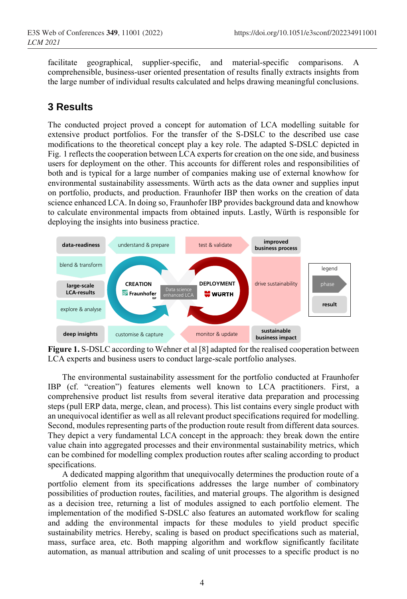facilitate geographical, supplier-specific, and material-specific comparisons. A comprehensible, business-user oriented presentation of results finally extracts insights from the large number of individual results calculated and helps drawing meaningful conclusions.

# **3 Results**

The conducted project proved a concept for automation of LCA modelling suitable for extensive product portfolios. For the transfer of the S-DSLC to the described use case modifications to the theoretical concept play a key role. The adapted S-DSLC depicted in Fig. 1 reflects the cooperation between LCA experts for creation on the one side, and business users for deployment on the other. This accounts for different roles and responsibilities of both and is typical for a large number of companies making use of external knowhow for environmental sustainability assessments. Würth acts as the data owner and supplies input on portfolio, products, and production. Fraunhofer IBP then works on the creation of data science enhanced LCA. In doing so, Fraunhofer IBP provides background data and knowhow to calculate environmental impacts from obtained inputs. Lastly, Würth is responsible for deploying the insights into business practice.



**Figure 1.** S-DSLC according to Wehner et al [8] adapted for the realised cooperation between LCA experts and business users to conduct large-scale portfolio analyses.

The environmental sustainability assessment for the portfolio conducted at Fraunhofer IBP (cf. "creation") features elements well known to LCA practitioners. First, a comprehensive product list results from several iterative data preparation and processing steps (pull ERP data, merge, clean, and process). This list contains every single product with an unequivocal identifier as well as all relevant product specifications required for modelling. Second, modules representing parts of the production route result from different data sources. They depict a very fundamental LCA concept in the approach: they break down the entire value chain into aggregated processes and their environmental sustainability metrics, which can be combined for modelling complex production routes after scaling according to product specifications.

A dedicated mapping algorithm that unequivocally determines the production route of a portfolio element from its specifications addresses the large number of combinatory possibilities of production routes, facilities, and material groups. The algorithm is designed as a decision tree, returning a list of modules assigned to each portfolio element. The implementation of the modified S-DSLC also features an automated workflow for scaling and adding the environmental impacts for these modules to yield product specific sustainability metrics. Hereby, scaling is based on product specifications such as material, mass, surface area, etc. Both mapping algorithm and workflow significantly facilitate automation, as manual attribution and scaling of unit processes to a specific product is no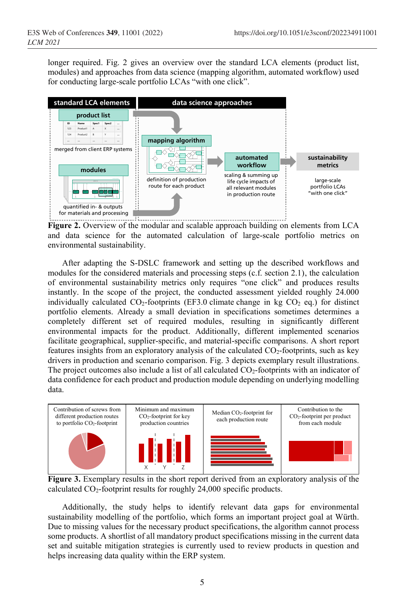longer required. Fig. 2 gives an overview over the standard LCA elements (product list, modules) and approaches from data science (mapping algorithm, automated workflow) used for conducting large-scale portfolio LCAs "with one click".



**Figure 2.** Overview of the modular and scalable approach building on elements from LCA and data science for the automated calculation of large-scale portfolio metrics on environmental sustainability.

After adapting the S-DSLC framework and setting up the described workflows and modules for the considered materials and processing steps (c.f. section 2.1), the calculation of environmental sustainability metrics only requires "one click" and produces results instantly. In the scope of the project, the conducted assessment yielded roughly 24.000 individually calculated  $CO_2$ -footprints (EF3.0 climate change in kg  $CO_2$  eq.) for distinct portfolio elements. Already a small deviation in specifications sometimes determines a completely different set of required modules, resulting in significantly different environmental impacts for the product. Additionally, different implemented scenarios facilitate geographical, supplier-specific, and material-specific comparisons. A short report features insights from an exploratory analysis of the calculated CO<sub>2</sub>-footprints, such as key drivers in production and scenario comparison. Fig. 3 depicts exemplary result illustrations. The project outcomes also include a list of all calculated  $CO<sub>2</sub>$ -footprints with an indicator of data confidence for each product and production module depending on underlying modelling data.



**Figure 3.** Exemplary results in the short report derived from an exploratory analysis of the calculated  $CO_2$ -footprint results for roughly 24,000 specific products.

Additionally, the study helps to identify relevant data gaps for environmental sustainability modelling of the portfolio, which forms an important project goal at Würth. Due to missing values for the necessary product specifications, the algorithm cannot process some products. A shortlist of all mandatory product specifications missing in the current data set and suitable mitigation strategies is currently used to review products in question and helps increasing data quality within the ERP system.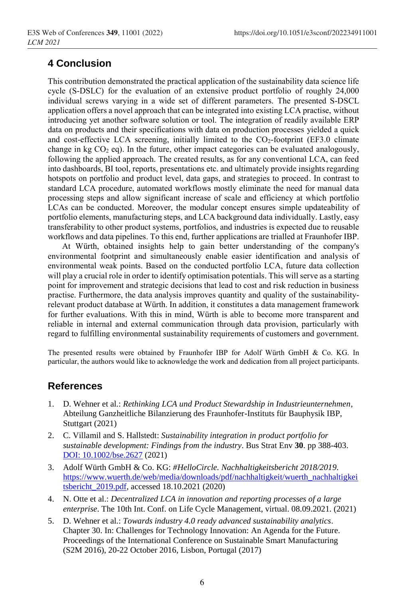## **4 Conclusion**

This contribution demonstrated the practical application of the sustainability data science life cycle (S-DSLC) for the evaluation of an extensive product portfolio of roughly 24,000 individual screws varying in a wide set of different parameters. The presented S-DSCL application offers a novel approach that can be integrated into existing LCA practise, without introducing yet another software solution or tool. The integration of readily available ERP data on products and their specifications with data on production processes yielded a quick and cost-effective LCA screening, initially limited to the  $CO<sub>2</sub>$ -footprint (EF3.0 climate change in kg  $CO<sub>2</sub>$  eq). In the future, other impact categories can be evaluated analogously, following the applied approach. The created results, as for any conventional LCA, can feed into dashboards, BI tool, reports, presentations etc. and ultimately provide insights regarding hotspots on portfolio and product level, data gaps, and strategies to proceed. In contrast to standard LCA procedure, automated workflows mostly eliminate the need for manual data processing steps and allow significant increase of scale and efficiency at which portfolio LCAs can be conducted. Moreover, the modular concept ensures simple updateability of portfolio elements, manufacturing steps, and LCA background data individually. Lastly, easy transferability to other product systems, portfolios, and industries is expected due to reusable workflows and data pipelines. To this end, further applications are trialled at Fraunhofer IBP.

At Würth, obtained insights help to gain better understanding of the company's environmental footprint and simultaneously enable easier identification and analysis of environmental weak points. Based on the conducted portfolio LCA, future data collection will play a crucial role in order to identify optimisation potentials. This will serve as a starting point for improvement and strategic decisions that lead to cost and risk reduction in business practise. Furthermore, the data analysis improves quantity and quality of the sustainabilityrelevant product database at Würth. In addition, it constitutes a data management framework for further evaluations. With this in mind, Würth is able to become more transparent and reliable in internal and external communication through data provision, particularly with regard to fulfilling environmental sustainability requirements of customers and government.

The presented results were obtained by Fraunhofer IBP for Adolf Würth GmbH & Co. KG. In particular, the authors would like to acknowledge the work and dedication from all project participants.

### **References**

- 1. D. Wehner et al.: *Rethinking LCA und Product Stewardship in Industrieunternehmen*, Abteilung Ganzheitliche Bilanzierung des Fraunhofer-Instituts für Bauphysik IBP, Stuttgart (2021)
- 2. C. Villamil and S. Hallstedt: *Sustainability integration in product portfolio for sustainable development: Findings from the industry*. Bus Strat Env **30**. pp 388-403. [DOI: 10.1002/bse.2627](https://doi.org/10.1002/bse.2627) (2021)
- 3. Adolf Würth GmbH & Co. KG: *#HelloCircle. Nachhaltigkeitsbericht 2018/2019*. [https://www.wuerth.de/web/media/downloads/pdf/nachhaltigkeit/wuerth\\_nachhaltigkei](https://www.wuerth.de/web/media/downloads/pdf/nachhaltigkeit/wuerth_nachhaltigkeitsbericht_2019.pdf) [tsbericht\\_2019.pdf,](https://www.wuerth.de/web/media/downloads/pdf/nachhaltigkeit/wuerth_nachhaltigkeitsbericht_2019.pdf) accessed 18.10.2021 (2020)
- 4. N. Otte et al.: *Decentralized LCA in innovation and reporting processes of a large enterprise*. The 10th Int. Conf. on Life Cycle Management, virtual. 08.09.2021. (2021)
- 5. D. Wehner et al.: *Towards industry 4.0 ready advanced sustainability analytics*. Chapter 30. In: Challenges for Technology Innovation: An Agenda for the Future. Proceedings of the International Conference on Sustainable Smart Manufacturing (S2M 2016), 20-22 October 2016, Lisbon, Portugal (2017)